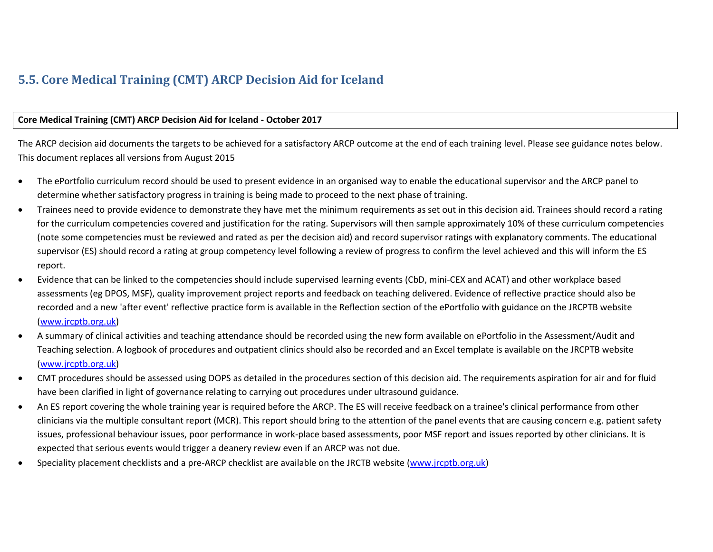## **5.5. Core Medical Training (CMT) ARCP Decision Aid for Iceland**

## **Core Medical Training (CMT) ARCP Decision Aid for Iceland - October 2017**

The ARCP decision aid documents the targets to be achieved for a satisfactory ARCP outcome at the end of each training level. Please see guidance notes below. This document replaces all versions from August 2015

- The ePortfolio curriculum record should be used to present evidence in an organised way to enable the educational supervisor and the ARCP panel to determine whether satisfactory progress in training is being made to proceed to the next phase of training.
- Trainees need to provide evidence to demonstrate they have met the minimum requirements as set out in this decision aid. Trainees should record a rating for the curriculum competencies covered and justification for the rating. Supervisors will then sample approximately 10% of these curriculum competencies (note some competencies must be reviewed and rated as per the decision aid) and record supervisor ratings with explanatory comments. The educational supervisor (ES) should record a rating at group competency level following a review of progress to confirm the level achieved and this will inform the ES report.
- Evidence that can be linked to the competencies should include supervised learning events (CbD, mini-CEX and ACAT) and other workplace based assessments (eg DPOS, MSF), quality improvement project reports and feedback on teaching delivered. Evidence of reflective practice should also be recorded and a new 'after event' reflective practice form is available in the Reflection section of the ePortfolio with guidance on the JRCPTB website [\(www.jrcptb.org.uk\)](https://www.jrcptb.org.uk/)
- A summary of clinical activities and teaching attendance should be recorded using the new form available on ePortfolio in the Assessment/Audit and Teaching selection. A logbook of procedures and outpatient clinics should also be recorded and an Excel template is available on the JRCPTB website [\(www.jrcptb.org.uk\)](https://www.jrcptb.org.uk/)
- CMT procedures should be assessed using DOPS as detailed in the procedures section of this decision aid. The requirements aspiration for air and for fluid have been clarified in light of governance relating to carrying out procedures under ultrasound guidance.
- An ES report covering the whole training year is required before the ARCP. The ES will receive feedback on a trainee's clinical performance from other clinicians via the multiple consultant report (MCR). This report should bring to the attention of the panel events that are causing concern e.g. patient safety issues, professional behaviour issues, poor performance in work-place based assessments, poor MSF report and issues reported by other clinicians. It is expected that serious events would trigger a deanery review even if an ARCP was not due.
- Speciality placement checklists and a pre-ARCP checklist are available on the JRCTB website [\(www.jrcptb.org.uk\)](https://www.jrcptb.org.uk/)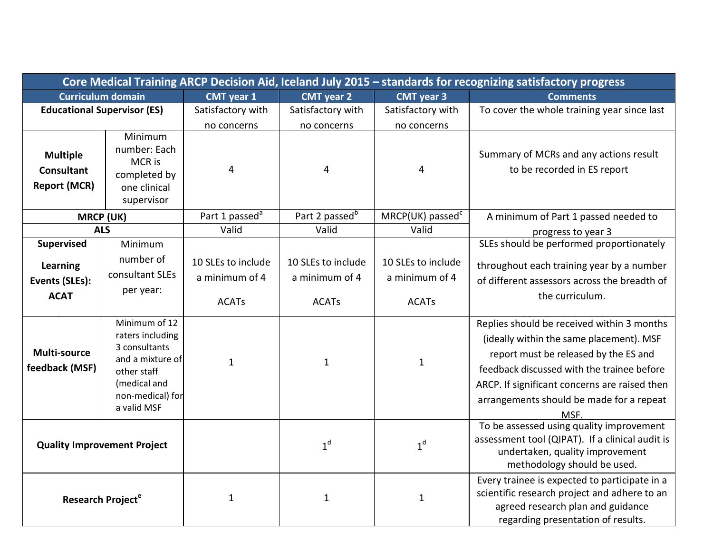| Core Medical Training ARCP Decision Aid, Iceland July 2015 - standards for recognizing satisfactory progress |                                                                                                                                          |                                                      |                                                      |                                                      |                                                                                                                                                                                                                                                                                    |
|--------------------------------------------------------------------------------------------------------------|------------------------------------------------------------------------------------------------------------------------------------------|------------------------------------------------------|------------------------------------------------------|------------------------------------------------------|------------------------------------------------------------------------------------------------------------------------------------------------------------------------------------------------------------------------------------------------------------------------------------|
| <b>Curriculum domain</b>                                                                                     |                                                                                                                                          | <b>CMT</b> year 1                                    | <b>CMT</b> year 2                                    | <b>CMT</b> year 3                                    | <b>Comments</b>                                                                                                                                                                                                                                                                    |
| <b>Educational Supervisor (ES)</b>                                                                           |                                                                                                                                          | Satisfactory with                                    | Satisfactory with                                    | Satisfactory with                                    | To cover the whole training year since last                                                                                                                                                                                                                                        |
|                                                                                                              |                                                                                                                                          | no concerns                                          | no concerns                                          | no concerns                                          |                                                                                                                                                                                                                                                                                    |
| <b>Multiple</b><br><b>Consultant</b><br><b>Report (MCR)</b>                                                  | Minimum<br>number: Each<br>MCR is<br>completed by<br>one clinical<br>supervisor                                                          | 4                                                    | 4                                                    | 4                                                    | Summary of MCRs and any actions result<br>to be recorded in ES report                                                                                                                                                                                                              |
| <b>MRCP (UK)</b>                                                                                             |                                                                                                                                          | Part 1 passed <sup>a</sup>                           | Part 2 passed <sup>b</sup>                           | MRCP(UK) passed <sup>c</sup>                         | A minimum of Part 1 passed needed to                                                                                                                                                                                                                                               |
| <b>ALS</b>                                                                                                   |                                                                                                                                          | Valid                                                | Valid                                                | Valid                                                | progress to year 3                                                                                                                                                                                                                                                                 |
| <b>Supervised</b><br>Learning<br>Events (SLEs):<br><b>ACAT</b>                                               | Minimum<br>number of<br>consultant SLEs<br>per year:                                                                                     | 10 SLEs to include<br>a minimum of 4<br><b>ACATs</b> | 10 SLEs to include<br>a minimum of 4<br><b>ACATs</b> | 10 SLEs to include<br>a minimum of 4<br><b>ACATs</b> | SLEs should be performed proportionately<br>throughout each training year by a number<br>of different assessors across the breadth of<br>the curriculum.                                                                                                                           |
| Multi-source<br>feedback (MSF)                                                                               | Minimum of 12<br>raters including<br>3 consultants<br>and a mixture of<br>other staff<br>(medical and<br>non-medical) for<br>a valid MSF | $\mathbf{1}$                                         | $\mathbf{1}$                                         | $\mathbf{1}$                                         | Replies should be received within 3 months<br>(ideally within the same placement). MSF<br>report must be released by the ES and<br>feedback discussed with the trainee before<br>ARCP. If significant concerns are raised then<br>arrangements should be made for a repeat<br>MSF. |
| <b>Quality Improvement Project</b>                                                                           |                                                                                                                                          |                                                      | 1 <sup>d</sup>                                       | 1 <sup>d</sup>                                       | To be assessed using quality improvement<br>assessment tool (QIPAT). If a clinical audit is<br>undertaken, quality improvement<br>methodology should be used.                                                                                                                      |
| Research Project <sup>e</sup>                                                                                |                                                                                                                                          | 1                                                    | $\mathbf{1}$                                         | $\mathbf{1}$                                         | Every trainee is expected to participate in a<br>scientific research project and adhere to an<br>agreed research plan and guidance<br>regarding presentation of results.                                                                                                           |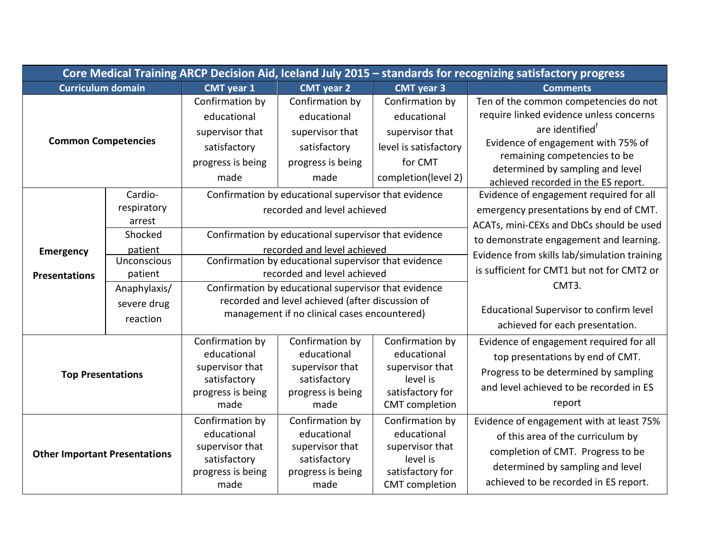| Core Medical Training ARCP Decision Aid, Iceland July 2015 - standards for recognizing satisfactory progress |                                                                                                                        |                                                                                                                                                                                                                                                                                                                                                                               |                                                                                                |                                                                                                              |                                                                                                                                                                                                                                                                                 |
|--------------------------------------------------------------------------------------------------------------|------------------------------------------------------------------------------------------------------------------------|-------------------------------------------------------------------------------------------------------------------------------------------------------------------------------------------------------------------------------------------------------------------------------------------------------------------------------------------------------------------------------|------------------------------------------------------------------------------------------------|--------------------------------------------------------------------------------------------------------------|---------------------------------------------------------------------------------------------------------------------------------------------------------------------------------------------------------------------------------------------------------------------------------|
| Curriculum domain                                                                                            |                                                                                                                        | <b>CMT</b> year 1                                                                                                                                                                                                                                                                                                                                                             | <b>CMT</b> year 2                                                                              | <b>CMT</b> year 3                                                                                            | <b>Comments</b>                                                                                                                                                                                                                                                                 |
| <b>Common Competencies</b>                                                                                   |                                                                                                                        | Confirmation by<br>educational<br>supervisor that<br>satisfactory<br>progress is being<br>made                                                                                                                                                                                                                                                                                | Confirmation by<br>educational<br>supervisor that<br>satisfactory<br>progress is being<br>made | Confirmation by<br>educational<br>supervisor that<br>level is satisfactory<br>for CMT<br>completion(level 2) | Ten of the common competencies do not<br>require linked evidence unless concerns<br>are identified <sup>t</sup><br>Evidence of engagement with 75% of<br>remaining competencies to be<br>determined by sampling and level<br>achieved recorded in the ES report.                |
| <b>Emergency</b><br><b>Presentations</b>                                                                     | Cardio-<br>respiratory<br>arrest<br>Shocked<br>patient<br><b>Unconscious</b><br>patient<br>Anaphylaxis/<br>severe drug | Confirmation by educational supervisor that evidence<br>recorded and level achieved<br>Confirmation by educational supervisor that evidence<br>recorded and level achieved<br>Confirmation by educational supervisor that evidence<br>recorded and level achieved<br>Confirmation by educational supervisor that evidence<br>recorded and level achieved (after discussion of |                                                                                                |                                                                                                              | Evidence of engagement required for all<br>emergency presentations by end of CMT.<br>ACATs, mini-CEXs and DbCs should be used<br>to demonstrate engagement and learning.<br>Evidence from skills lab/simulation training<br>is sufficient for CMT1 but not for CMT2 or<br>CMT3. |
|                                                                                                              | management if no clinical cases encountered)<br>reaction                                                               |                                                                                                                                                                                                                                                                                                                                                                               | Educational Supervisor to confirm level<br>achieved for each presentation.                     |                                                                                                              |                                                                                                                                                                                                                                                                                 |
| <b>Top Presentations</b>                                                                                     |                                                                                                                        | Confirmation by<br>educational<br>supervisor that<br>satisfactory<br>progress is being<br>made                                                                                                                                                                                                                                                                                | Confirmation by<br>educational<br>supervisor that<br>satisfactory<br>progress is being<br>made | Confirmation by<br>educational<br>supervisor that<br>level is<br>satisfactory for<br><b>CMT</b> completion   | Evidence of engagement required for all<br>top presentations by end of CMT.<br>Progress to be determined by sampling<br>and level achieved to be recorded in ES<br>report                                                                                                       |
| <b>Other Important Presentations</b>                                                                         |                                                                                                                        | Confirmation by<br>educational<br>supervisor that<br>satisfactory<br>progress is being<br>made                                                                                                                                                                                                                                                                                | Confirmation by<br>educational<br>supervisor that<br>satisfactory<br>progress is being<br>made | Confirmation by<br>educational<br>supervisor that<br>level is<br>satisfactory for<br><b>CMT</b> completion   | Evidence of engagement with at least 75%<br>of this area of the curriculum by<br>completion of CMT. Progress to be<br>determined by sampling and level<br>achieved to be recorded in ES report.                                                                                 |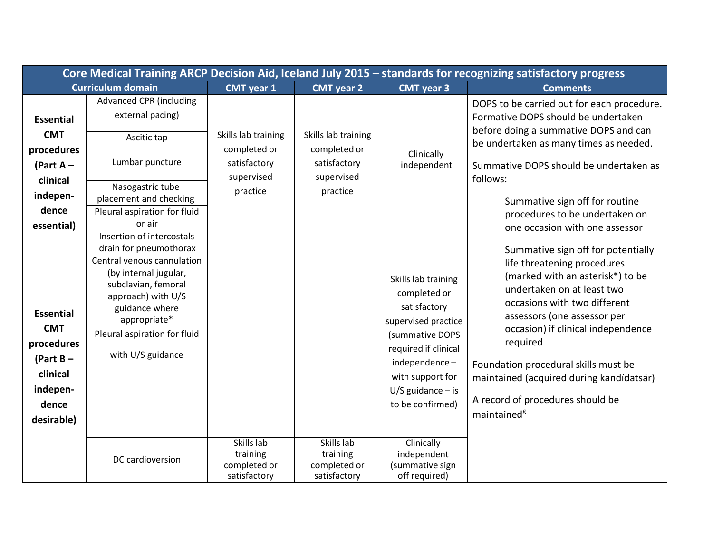| Core Medical Training ARCP Decision Aid, Iceland July 2015 - standards for recognizing satisfactory progress |                                                                                                                                    |                                                                               |                                                                               |                                                                            |                                                                                                                                                              |
|--------------------------------------------------------------------------------------------------------------|------------------------------------------------------------------------------------------------------------------------------------|-------------------------------------------------------------------------------|-------------------------------------------------------------------------------|----------------------------------------------------------------------------|--------------------------------------------------------------------------------------------------------------------------------------------------------------|
| <b>Curriculum domain</b>                                                                                     |                                                                                                                                    | <b>CMT</b> year 1                                                             | <b>CMT</b> year 2                                                             | <b>CMT</b> year 3                                                          | <b>Comments</b>                                                                                                                                              |
| <b>Essential</b>                                                                                             | <b>Advanced CPR (including</b><br>external pacing)                                                                                 |                                                                               |                                                                               |                                                                            | DOPS to be carried out for each procedure.<br>Formative DOPS should be undertaken<br>before doing a summative DOPS and can                                   |
| <b>CMT</b><br>procedures                                                                                     | Ascitic tap                                                                                                                        | Skills lab training<br>completed or<br>satisfactory<br>supervised<br>practice | Skills lab training<br>completed or<br>satisfactory<br>supervised<br>practice | Clinically<br>independent                                                  | be undertaken as many times as needed.                                                                                                                       |
| (Part $A -$<br>clinical                                                                                      | Lumbar puncture<br>Nasogastric tube                                                                                                |                                                                               |                                                                               |                                                                            | Summative DOPS should be undertaken as<br>follows:                                                                                                           |
| indepen-<br>dence                                                                                            | placement and checking<br>Pleural aspiration for fluid<br>or air                                                                   |                                                                               |                                                                               |                                                                            | Summative sign off for routine<br>procedures to be undertaken on                                                                                             |
| essential)                                                                                                   | Insertion of intercostals<br>drain for pneumothorax                                                                                |                                                                               |                                                                               |                                                                            | one occasion with one assessor<br>Summative sign off for potentially                                                                                         |
| <b>Essential</b>                                                                                             | Central venous cannulation<br>(by internal jugular,<br>subclavian, femoral<br>approach) with U/S<br>guidance where<br>appropriate* |                                                                               |                                                                               | Skills lab training<br>completed or<br>satisfactory<br>supervised practice | life threatening procedures<br>(marked with an asterisk*) to be<br>undertaken on at least two<br>occasions with two different<br>assessors (one assessor per |
| <b>CMT</b><br>procedures<br>(Part $B -$                                                                      | Pleural aspiration for fluid<br>with U/S guidance                                                                                  |                                                                               |                                                                               | (summative DOPS<br>required if clinical<br>independence-                   | occasion) if clinical independence<br>required<br>Foundation procedural skills must be                                                                       |
| clinical<br>indepen-<br>dence                                                                                |                                                                                                                                    |                                                                               |                                                                               | with support for<br>$U/S$ guidance – is<br>to be confirmed)                | maintained (acquired during kandídatsár)<br>A record of procedures should be                                                                                 |
| desirable)                                                                                                   |                                                                                                                                    |                                                                               |                                                                               |                                                                            | maintained <sup>g</sup>                                                                                                                                      |
|                                                                                                              | DC cardioversion                                                                                                                   | Skills lab<br>training<br>completed or<br>satisfactory                        | Skills lab<br>training<br>completed or<br>satisfactory                        | Clinically<br>independent<br>(summative sign<br>off required)              |                                                                                                                                                              |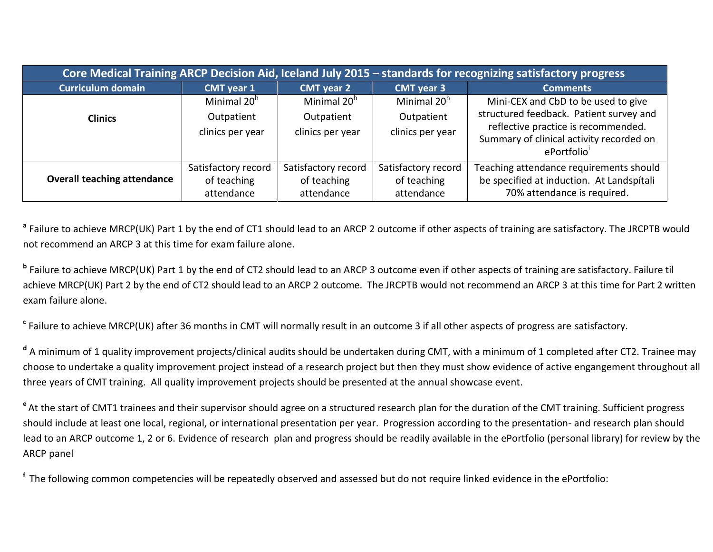| Core Medical Training ARCP Decision Aid, Iceland July 2015 - standards for recognizing satisfactory progress |                                                           |                                                           |                                                           |                                                                                                                                                                                 |  |
|--------------------------------------------------------------------------------------------------------------|-----------------------------------------------------------|-----------------------------------------------------------|-----------------------------------------------------------|---------------------------------------------------------------------------------------------------------------------------------------------------------------------------------|--|
| <b>Curriculum domain</b>                                                                                     | <b>CMT</b> year 1                                         | <b>CMT</b> year 2                                         | <b>CMT</b> year 3                                         | <b>Comments</b>                                                                                                                                                                 |  |
| <b>Clinics</b>                                                                                               | Minimal 20 <sup>h</sup><br>Outpatient<br>clinics per year | Minimal 20 <sup>h</sup><br>Outpatient<br>clinics per year | Minimal 20 <sup>h</sup><br>Outpatient<br>clinics per year | Mini-CEX and CbD to be used to give<br>structured feedback. Patient survey and<br>reflective practice is recommended.<br>Summary of clinical activity recorded on<br>ePortfolio |  |
| <b>Overall teaching attendance</b>                                                                           | Satisfactory record<br>of teaching<br>attendance          | Satisfactory record<br>of teaching<br>attendance          | Satisfactory record<br>of teaching<br>attendance          | Teaching attendance requirements should<br>be specified at induction. At Landspitali<br>70% attendance is required.                                                             |  |

**a** Failure to achieve MRCP(UK) Part 1 by the end of CT1 should lead to an ARCP 2 outcome if other aspects of training are satisfactory. The JRCPTB would not recommend an ARCP 3 at this time for exam failure alone.

**b** Failure to achieve MRCP(UK) Part 1 by the end of CT2 should lead to an ARCP 3 outcome even if other aspects of training are satisfactory. Failure til achieve MRCP(UK) Part 2 by the end of CT2 should lead to an ARCP 2 outcome. The JRCPTB would not recommend an ARCP 3 at this time for Part 2 written exam failure alone.

**c** Failure to achieve MRCP(UK) after 36 months in CMT will normally result in an outcome 3 if all other aspects of progress are satisfactory.

**d** A minimum of 1 quality improvement projects/clinical audits should be undertaken during CMT, with a minimum of 1 completed after CT2. Trainee may choose to undertake a quality improvement project instead of a research project but then they must show evidence of active engangement throughout all three years of CMT training. All quality improvement projects should be presented at the annual showcase event.

<sup>e</sup> At the start of CMT1 trainees and their supervisor should agree on a structured research plan for the duration of the CMT training. Sufficient progress should include at least one local, regional, or international presentation per year. Progression according to the presentation- and research plan should lead to an ARCP outcome 1, 2 or 6. Evidence of research plan and progress should be readily available in the ePortfolio (personal library) for review by the ARCP panel

**<sup>f</sup>**The following common competencies will be repeatedly observed and assessed but do not require linked evidence in the ePortfolio: